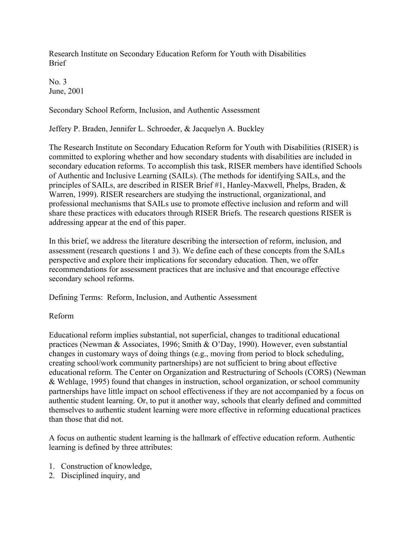Research Institute on Secondary Education Reform for Youth with Disabilities Brief

No. 3 June, 2001

Secondary School Reform, Inclusion, and Authentic Assessment

Jeffery P. Braden, Jennifer L. Schroeder, & Jacquelyn A. Buckley

The Research Institute on Secondary Education Reform for Youth with Disabilities (RISER) is committed to exploring whether and how secondary students with disabilities are included in secondary education reforms. To accomplish this task, RISER members have identified Schools of Authentic and Inclusive Learning (SAILs). (The methods for identifying SAILs, and the principles of SAILs, are described in RISER Brief #1, Hanley-Maxwell, Phelps, Braden, & Warren, 1999). RISER researchers are studying the instructional, organizational, and professional mechanisms that SAILs use to promote effective inclusion and reform and will share these practices with educators through RISER Briefs. The research questions RISER is addressing appear at the end of this paper.

In this brief, we address the literature describing the intersection of reform, inclusion, and assessment (research questions 1 and 3). We define each of these concepts from the SAILs perspective and explore their implications for secondary education. Then, we offer recommendations for assessment practices that are inclusive and that encourage effective secondary school reforms.

Defining Terms: Reform, Inclusion, and Authentic Assessment

# Reform

Educational reform implies substantial, not superficial, changes to traditional educational practices (Newman & Associates, 1996; Smith & O'Day, 1990). However, even substantial changes in customary ways of doing things (e.g., moving from period to block scheduling, creating school/work community partnerships) are not sufficient to bring about effective educational reform. The Center on Organization and Restructuring of Schools (CORS) (Newman & Wehlage, 1995) found that changes in instruction, school organization, or school community partnerships have little impact on school effectiveness if they are not accompanied by a focus on authentic student learning. Or, to put it another way, schools that clearly defined and committed themselves to authentic student learning were more effective in reforming educational practices than those that did not.

A focus on authentic student learning is the hallmark of effective education reform. Authentic learning is defined by three attributes:

- 1. Construction of knowledge,
- 2. Disciplined inquiry, and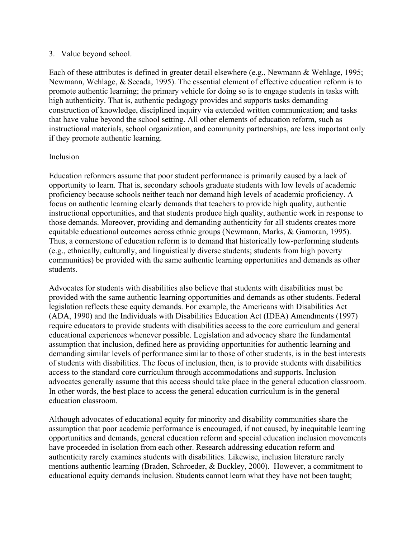### 3. Value beyond school.

Each of these attributes is defined in greater detail elsewhere (e.g., Newmann & Wehlage, 1995; Newmann, Wehlage, & Secada, 1995). The essential element of effective education reform is to promote authentic learning; the primary vehicle for doing so is to engage students in tasks with high authenticity. That is, authentic pedagogy provides and supports tasks demanding construction of knowledge, disciplined inquiry via extended written communication; and tasks that have value beyond the school setting. All other elements of education reform, such as instructional materials, school organization, and community partnerships, are less important only if they promote authentic learning.

## Inclusion

Education reformers assume that poor student performance is primarily caused by a lack of opportunity to learn. That is, secondary schools graduate students with low levels of academic proficiency because schools neither teach nor demand high levels of academic proficiency. A focus on authentic learning clearly demands that teachers to provide high quality, authentic instructional opportunities, and that students produce high quality, authentic work in response to those demands. Moreover, providing and demanding authenticity for all students creates more equitable educational outcomes across ethnic groups (Newmann, Marks, & Gamoran, 1995). Thus, a cornerstone of education reform is to demand that historically low-performing students (e.g., ethnically, culturally, and linguistically diverse students; students from high poverty communities) be provided with the same authentic learning opportunities and demands as other students.

Advocates for students with disabilities also believe that students with disabilities must be provided with the same authentic learning opportunities and demands as other students. Federal legislation reflects these equity demands. For example, the Americans with Disabilities Act (ADA, 1990) and the Individuals with Disabilities Education Act (IDEA) Amendments (1997) require educators to provide students with disabilities access to the core curriculum and general educational experiences whenever possible. Legislation and advocacy share the fundamental assumption that inclusion, defined here as providing opportunities for authentic learning and demanding similar levels of performance similar to those of other students, is in the best interests of students with disabilities. The focus of inclusion, then, is to provide students with disabilities access to the standard core curriculum through accommodations and supports. Inclusion advocates generally assume that this access should take place in the general education classroom. In other words, the best place to access the general education curriculum is in the general education classroom.

Although advocates of educational equity for minority and disability communities share the assumption that poor academic performance is encouraged, if not caused, by inequitable learning opportunities and demands, general education reform and special education inclusion movements have proceeded in isolation from each other. Research addressing education reform and authenticity rarely examines students with disabilities. Likewise, inclusion literature rarely mentions authentic learning (Braden, Schroeder, & Buckley, 2000). However, a commitment to educational equity demands inclusion. Students cannot learn what they have not been taught;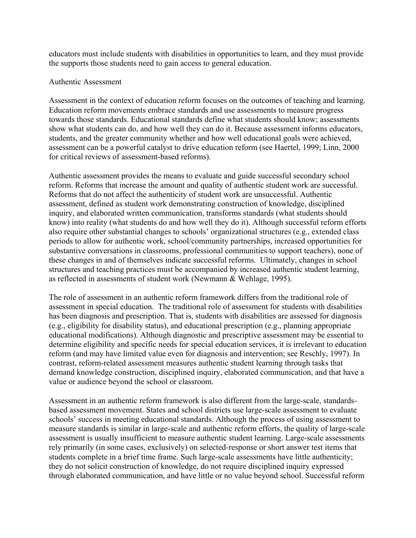educators must include students with disabilities in opportunities to learn, and they must provide the supports those students need to gain access to general education.

### Authentic Assessment

Assessment in the context of education reform focuses on the outcomes of teaching and learning. Education reform movements embrace standards and use assessments to measure progress towards those standards. Educational standards define what students should know; assessments show what students can do, and how well they can do it. Because assessment informs educators, students, and the greater community whether and how well educational goals were achieved, assessment can be a powerful catalyst to drive education reform (see Haertel, 1999; Linn, 2000 for critical reviews of assessment-based reforms).

Authentic assessment provides the means to evaluate and guide successful secondary school reform. Reforms that increase the amount and quality of authentic student work are successful. Reforms that do not affect the authenticity of student work are unsuccessful. Authentic assessment, defined as student work demonstrating construction of knowledge, disciplined inquiry, and elaborated written communication, transforms standards (what students should know) into reality (what students do and how well they do it). Although successful reform efforts also require other substantial changes to schools' organizational structures (e.g., extended class periods to allow for authentic work, school/community partnerships, increased opportunities for substantive conversations in classrooms, professional communities to support teachers), none of these changes in and of themselves indicate successful reforms. Ultimately, changes in school structures and teaching practices must be accompanied by increased authentic student learning, as reflected in assessments of student work (Newmann & Wehlage, 1995).

The role of assessment in an authentic reform framework differs from the traditional role of assessment in special education. The traditional role of assessment for students with disabilities has been diagnosis and prescription. That is, students with disabilities are assessed for diagnosis (e.g., eligibility for disability status), and educational prescription (e.g., planning appropriate educational modifications). Although diagnostic and prescriptive assessment may be essential to determine eligibility and specific needs for special education services, it is irrelevant to education reform (and may have limited value even for diagnosis and intervention; see Reschly, 1997). In contrast, reform-related assessment measures authentic student learning through tasks that demand knowledge construction, disciplined inquiry, elaborated communication, and that have a value or audience beyond the school or classroom.

Assessment in an authentic reform framework is also different from the large-scale, standardsbased assessment movement. States and school districts use large-scale assessment to evaluate schools' success in meeting educational standards. Although the process of using assessment to measure standards is similar in large-scale and authentic reform efforts, the quality of large-scale assessment is usually insufficient to measure authentic student learning. Large-scale assessments rely primarily (in some cases, exclusively) on selected-response or short answer test items that students complete in a brief time frame. Such large-scale assessments have little authenticity; they do not solicit construction of knowledge, do not require disciplined inquiry expressed through elaborated communication, and have little or no value beyond school. Successful reform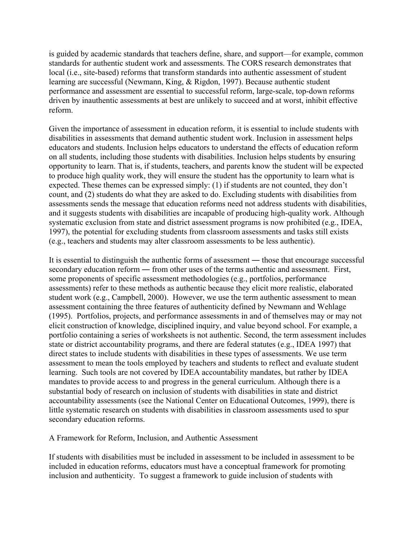is guided by academic standards that teachers define, share, and support—for example, common standards for authentic student work and assessments. The CORS research demonstrates that local (i.e., site-based) reforms that transform standards into authentic assessment of student learning are successful (Newmann, King, & Rigdon, 1997). Because authentic student performance and assessment are essential to successful reform, large-scale, top-down reforms driven by inauthentic assessments at best are unlikely to succeed and at worst, inhibit effective reform.

Given the importance of assessment in education reform, it is essential to include students with disabilities in assessments that demand authentic student work. Inclusion in assessment helps educators and students. Inclusion helps educators to understand the effects of education reform on all students, including those students with disabilities. Inclusion helps students by ensuring opportunity to learn. That is, if students, teachers, and parents know the student will be expected to produce high quality work, they will ensure the student has the opportunity to learn what is expected. These themes can be expressed simply: (1) if students are not counted, they don't count, and (2) students do what they are asked to do. Excluding students with disabilities from assessments sends the message that education reforms need not address students with disabilities, and it suggests students with disabilities are incapable of producing high-quality work. Although systematic exclusion from state and district assessment programs is now prohibited (e.g., IDEA, 1997), the potential for excluding students from classroom assessments and tasks still exists (e.g., teachers and students may alter classroom assessments to be less authentic).

It is essential to distinguish the authentic forms of assessment ― those that encourage successful secondary education reform ― from other uses of the terms authentic and assessment. First, some proponents of specific assessment methodologies (e.g., portfolios, performance assessments) refer to these methods as authentic because they elicit more realistic, elaborated student work (e.g., Campbell, 2000). However, we use the term authentic assessment to mean assessment containing the three features of authenticity defined by Newmann and Wehlage (1995). Portfolios, projects, and performance assessments in and of themselves may or may not elicit construction of knowledge, disciplined inquiry, and value beyond school. For example, a portfolio containing a series of worksheets is not authentic. Second, the term assessment includes state or district accountability programs, and there are federal statutes (e.g., IDEA 1997) that direct states to include students with disabilities in these types of assessments. We use term assessment to mean the tools employed by teachers and students to reflect and evaluate student learning. Such tools are not covered by IDEA accountability mandates, but rather by IDEA mandates to provide access to and progress in the general curriculum. Although there is a substantial body of research on inclusion of students with disabilities in state and district accountability assessments (see the National Center on Educational Outcomes, 1999), there is little systematic research on students with disabilities in classroom assessments used to spur secondary education reforms.

A Framework for Reform, Inclusion, and Authentic Assessment

If students with disabilities must be included in assessment to be included in assessment to be included in education reforms, educators must have a conceptual framework for promoting inclusion and authenticity. To suggest a framework to guide inclusion of students with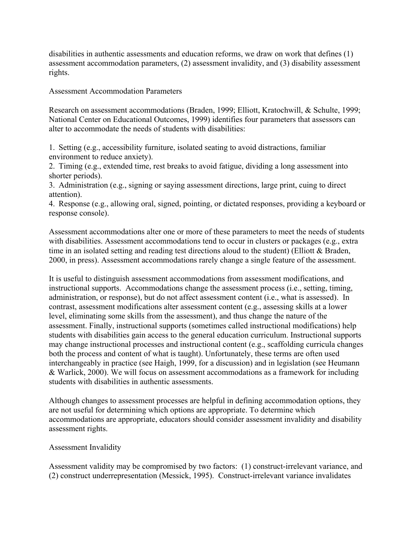disabilities in authentic assessments and education reforms, we draw on work that defines (1) assessment accommodation parameters, (2) assessment invalidity, and (3) disability assessment rights.

Assessment Accommodation Parameters

Research on assessment accommodations (Braden, 1999; Elliott, Kratochwill, & Schulte, 1999; National Center on Educational Outcomes, 1999) identifies four parameters that assessors can alter to accommodate the needs of students with disabilities:

1. Setting (e.g., accessibility furniture, isolated seating to avoid distractions, familiar environment to reduce anxiety).

2. Timing (e.g., extended time, rest breaks to avoid fatigue, dividing a long assessment into shorter periods).

3. Administration (e.g., signing or saying assessment directions, large print, cuing to direct attention).

4. Response (e.g., allowing oral, signed, pointing, or dictated responses, providing a keyboard or response console).

Assessment accommodations alter one or more of these parameters to meet the needs of students with disabilities. Assessment accommodations tend to occur in clusters or packages (e.g., extra time in an isolated setting and reading test directions aloud to the student) (Elliott & Braden, 2000, in press). Assessment accommodations rarely change a single feature of the assessment.

It is useful to distinguish assessment accommodations from assessment modifications, and instructional supports. Accommodations change the assessment process (i.e., setting, timing, administration, or response), but do not affect assessment content (i.e., what is assessed). In contrast, assessment modifications alter assessment content (e.g., assessing skills at a lower level, eliminating some skills from the assessment), and thus change the nature of the assessment. Finally, instructional supports (sometimes called instructional modifications) help students with disabilities gain access to the general education curriculum. Instructional supports may change instructional processes and instructional content (e.g., scaffolding curricula changes both the process and content of what is taught). Unfortunately, these terms are often used interchangeably in practice (see Haigh, 1999, for a discussion) and in legislation (see Heumann & Warlick, 2000). We will focus on assessment accommodations as a framework for including students with disabilities in authentic assessments.

Although changes to assessment processes are helpful in defining accommodation options, they are not useful for determining which options are appropriate. To determine which accommodations are appropriate, educators should consider assessment invalidity and disability assessment rights.

# Assessment Invalidity

Assessment validity may be compromised by two factors: (1) construct-irrelevant variance, and (2) construct underrepresentation (Messick, 1995). Construct-irrelevant variance invalidates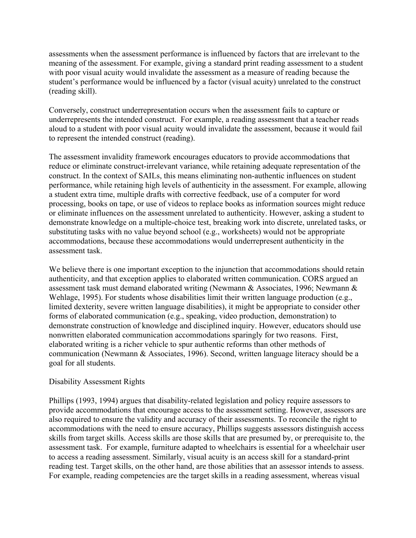assessments when the assessment performance is influenced by factors that are irrelevant to the meaning of the assessment. For example, giving a standard print reading assessment to a student with poor visual acuity would invalidate the assessment as a measure of reading because the student's performance would be influenced by a factor (visual acuity) unrelated to the construct (reading skill).

Conversely, construct underrepresentation occurs when the assessment fails to capture or underrepresents the intended construct. For example, a reading assessment that a teacher reads aloud to a student with poor visual acuity would invalidate the assessment, because it would fail to represent the intended construct (reading).

The assessment invalidity framework encourages educators to provide accommodations that reduce or eliminate construct-irrelevant variance, while retaining adequate representation of the construct. In the context of SAILs, this means eliminating non-authentic influences on student performance, while retaining high levels of authenticity in the assessment. For example, allowing a student extra time, multiple drafts with corrective feedback, use of a computer for word processing, books on tape, or use of videos to replace books as information sources might reduce or eliminate influences on the assessment unrelated to authenticity. However, asking a student to demonstrate knowledge on a multiple-choice test, breaking work into discrete, unrelated tasks, or substituting tasks with no value beyond school (e.g., worksheets) would not be appropriate accommodations, because these accommodations would underrepresent authenticity in the assessment task.

We believe there is one important exception to the injunction that accommodations should retain authenticity, and that exception applies to elaborated written communication. CORS argued an assessment task must demand elaborated writing (Newmann & Associates, 1996; Newmann & Wehlage, 1995). For students whose disabilities limit their written language production (e.g., limited dexterity, severe written language disabilities), it might be appropriate to consider other forms of elaborated communication (e.g., speaking, video production, demonstration) to demonstrate construction of knowledge and disciplined inquiry. However, educators should use nonwritten elaborated communication accommodations sparingly for two reasons. First, elaborated writing is a richer vehicle to spur authentic reforms than other methods of communication (Newmann & Associates, 1996). Second, written language literacy should be a goal for all students.

### Disability Assessment Rights

Phillips (1993, 1994) argues that disability-related legislation and policy require assessors to provide accommodations that encourage access to the assessment setting. However, assessors are also required to ensure the validity and accuracy of their assessments. To reconcile the right to accommodations with the need to ensure accuracy, Phillips suggests assessors distinguish access skills from target skills. Access skills are those skills that are presumed by, or prerequisite to, the assessment task. For example, furniture adapted to wheelchairs is essential for a wheelchair user to access a reading assessment. Similarly, visual acuity is an access skill for a standard-print reading test. Target skills, on the other hand, are those abilities that an assessor intends to assess. For example, reading competencies are the target skills in a reading assessment, whereas visual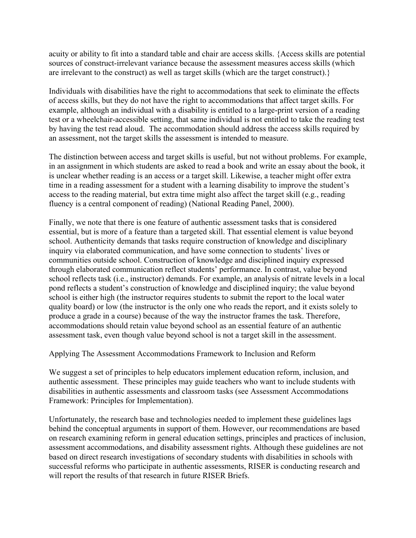acuity or ability to fit into a standard table and chair are access skills. {Access skills are potential sources of construct-irrelevant variance because the assessment measures access skills (which are irrelevant to the construct) as well as target skills (which are the target construct).}

Individuals with disabilities have the right to accommodations that seek to eliminate the effects of access skills, but they do not have the right to accommodations that affect target skills. For example, although an individual with a disability is entitled to a large-print version of a reading test or a wheelchair-accessible setting, that same individual is not entitled to take the reading test by having the test read aloud. The accommodation should address the access skills required by an assessment, not the target skills the assessment is intended to measure.

The distinction between access and target skills is useful, but not without problems. For example, in an assignment in which students are asked to read a book and write an essay about the book, it is unclear whether reading is an access or a target skill. Likewise, a teacher might offer extra time in a reading assessment for a student with a learning disability to improve the student's access to the reading material, but extra time might also affect the target skill (e.g., reading fluency is a central component of reading) (National Reading Panel, 2000).

Finally, we note that there is one feature of authentic assessment tasks that is considered essential, but is more of a feature than a targeted skill. That essential element is value beyond school. Authenticity demands that tasks require construction of knowledge and disciplinary inquiry via elaborated communication, and have some connection to students' lives or communities outside school. Construction of knowledge and disciplined inquiry expressed through elaborated communication reflect students' performance. In contrast, value beyond school reflects task (i.e., instructor) demands. For example, an analysis of nitrate levels in a local pond reflects a student's construction of knowledge and disciplined inquiry; the value beyond school is either high (the instructor requires students to submit the report to the local water quality board) or low (the instructor is the only one who reads the report, and it exists solely to produce a grade in a course) because of the way the instructor frames the task. Therefore, accommodations should retain value beyond school as an essential feature of an authentic assessment task, even though value beyond school is not a target skill in the assessment.

Applying The Assessment Accommodations Framework to Inclusion and Reform

We suggest a set of principles to help educators implement education reform, inclusion, and authentic assessment. These principles may guide teachers who want to include students with disabilities in authentic assessments and classroom tasks (see Assessment Accommodations Framework: Principles for Implementation).

Unfortunately, the research base and technologies needed to implement these guidelines lags behind the conceptual arguments in support of them. However, our recommendations are based on research examining reform in general education settings, principles and practices of inclusion, assessment accommodations, and disability assessment rights. Although these guidelines are not based on direct research investigations of secondary students with disabilities in schools with successful reforms who participate in authentic assessments, RISER is conducting research and will report the results of that research in future RISER Briefs.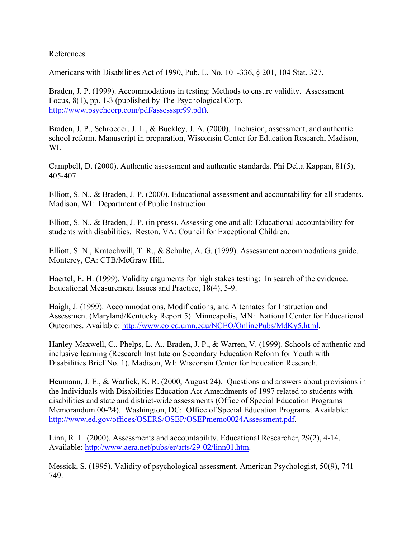## References

Americans with Disabilities Act of 1990, Pub. L. No. 101-336, § 201, 104 Stat. 327.

Braden, J. P. (1999). Accommodations in testing: Methods to ensure validity. Assessment Focus, 8(1), pp. 1-3 (published by The Psychological Corp. <http://www.psychcorp.com/pdf/assessspr99.pdf>).

Braden, J. P., Schroeder, J. L., & Buckley, J. A. (2000). Inclusion, assessment, and authentic school reform. Manuscript in preparation, Wisconsin Center for Education Research, Madison, WI.

Campbell, D. (2000). Authentic assessment and authentic standards. Phi Delta Kappan, 81(5), 405-407.

Elliott, S. N., & Braden, J. P. (2000). Educational assessment and accountability for all students. Madison, WI: Department of Public Instruction.

Elliott, S. N., & Braden, J. P. (in press). Assessing one and all: Educational accountability for students with disabilities. Reston, VA: Council for Exceptional Children.

Elliott, S. N., Kratochwill, T. R., & Schulte, A. G. (1999). Assessment accommodations guide. Monterey, CA: CTB/McGraw Hill.

Haertel, E. H. (1999). Validity arguments for high stakes testing: In search of the evidence. Educational Measurement Issues and Practice, 18(4), 5-9.

Haigh, J. (1999). Accommodations, Modifications, and Alternates for Instruction and Assessment (Maryland/Kentucky Report 5). Minneapolis, MN: National Center for Educational Outcomes. Available: [http://www.coled.umn.edu/NCEO/OnlinePubs/MdKy5.html.](http://www.coled.umn.edu/NCEO/OnlinePubs/MdKy5.html)

Hanley-Maxwell, C., Phelps, L. A., Braden, J. P., & Warren, V. (1999). Schools of authentic and inclusive learning (Research Institute on Secondary Education Reform for Youth with Disabilities Brief No. 1). Madison, WI: Wisconsin Center for Education Research.

Heumann, J. E., & Warlick, K. R. (2000, August 24). Questions and answers about provisions in the Individuals with Disabilities Education Act Amendments of 1997 related to students with disabilities and state and district-wide assessments (Office of Special Education Programs Memorandum 00-24). Washington, DC: Office of Special Education Programs. Available: [http://www.ed.gov/offices/OSERS/OSEP/OSEPmemo0024Assessment.pdf.](http://www.ed.gov/offices/OSERS/OSEP/OSEPmemo0024Assessment.pdf)

Linn, R. L. (2000). Assessments and accountability. Educational Researcher, 29(2), 4-14. Available: [http://www.aera.net/pubs/er/arts/29-02/linn01.htm.](http://www.aera.net/pubs/er/arts/29-02/linn01.htm)

Messick, S. (1995). Validity of psychological assessment. American Psychologist, 50(9), 741- 749.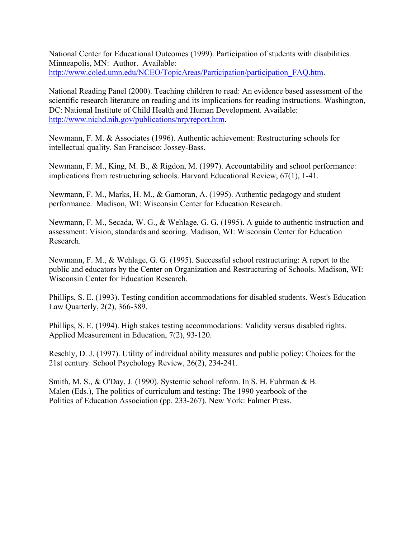National Center for Educational Outcomes (1999). Participation of students with disabilities. Minneapolis, MN: Author. Available: [http://www.coled.umn.edu/NCEO/TopicAreas/Participation/participation\\_FAQ.htm.](http://www.coled.umn.edu/NCEO/TopicAreas/Participation/participation_FAQ.htm)

National Reading Panel (2000). Teaching children to read: An evidence based assessment of the scientific research literature on reading and its implications for reading instructions. Washington, DC: National Institute of Child Health and Human Development. Available: [http://www.nichd.nih.gov/publications/nrp/report.htm.](http://www.nichd.nih.gov/publications/nrp/report.htm)

Newmann, F. M. & Associates (1996). Authentic achievement: Restructuring schools for intellectual quality. San Francisco: Jossey-Bass.

Newmann, F. M., King, M. B., & Rigdon, M. (1997). Accountability and school performance: implications from restructuring schools. Harvard Educational Review, 67(1), 1-41.

Newmann, F. M., Marks, H. M., & Gamoran, A. (1995). Authentic pedagogy and student performance. Madison, WI: Wisconsin Center for Education Research.

Newmann, F. M., Secada, W. G., & Wehlage, G. G. (1995). A guide to authentic instruction and assessment: Vision, standards and scoring. Madison, WI: Wisconsin Center for Education Research.

Newmann, F. M., & Wehlage, G. G. (1995). Successful school restructuring: A report to the public and educators by the Center on Organization and Restructuring of Schools. Madison, WI: Wisconsin Center for Education Research.

Phillips, S. E. (1993). Testing condition accommodations for disabled students. West's Education Law Quarterly, 2(2), 366-389.

Phillips, S. E. (1994). High stakes testing accommodations: Validity versus disabled rights. Applied Measurement in Education, 7(2), 93-120.

Reschly, D. J. (1997). Utility of individual ability measures and public policy: Choices for the 21st century. School Psychology Review, 26(2), 234-241.

Smith, M. S., & O'Day, J. (1990). Systemic school reform. In S. H. Fuhrman & B. Malen (Eds.), The politics of curriculum and testing: The 1990 yearbook of the Politics of Education Association (pp. 233-267). New York: Falmer Press.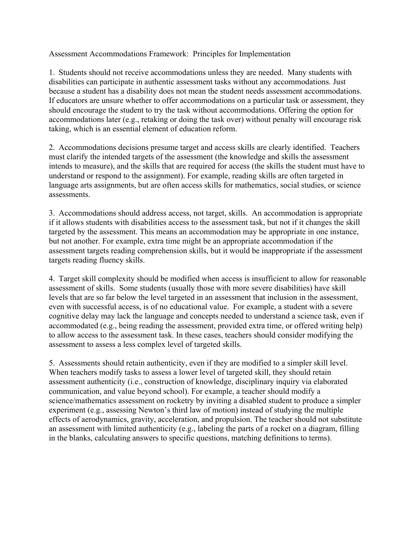Assessment Accommodations Framework: Principles for Implementation

1. Students should not receive accommodations unless they are needed. Many students with disabilities can participate in authentic assessment tasks without any accommodations. Just because a student has a disability does not mean the student needs assessment accommodations. If educators are unsure whether to offer accommodations on a particular task or assessment, they should encourage the student to try the task without accommodations. Offering the option for accommodations later (e.g., retaking or doing the task over) without penalty will encourage risk taking, which is an essential element of education reform.

2. Accommodations decisions presume target and access skills are clearly identified. Teachers must clarify the intended targets of the assessment (the knowledge and skills the assessment intends to measure), and the skills that are required for access (the skills the student must have to understand or respond to the assignment). For example, reading skills are often targeted in language arts assignments, but are often access skills for mathematics, social studies, or science assessments.

3. Accommodations should address access, not target, skills. An accommodation is appropriate if it allows students with disabilities access to the assessment task, but not if it changes the skill targeted by the assessment. This means an accommodation may be appropriate in one instance, but not another. For example, extra time might be an appropriate accommodation if the assessment targets reading comprehension skills, but it would be inappropriate if the assessment targets reading fluency skills.

4. Target skill complexity should be modified when access is insufficient to allow for reasonable assessment of skills. Some students (usually those with more severe disabilities) have skill levels that are so far below the level targeted in an assessment that inclusion in the assessment, even with successful access, is of no educational value. For example, a student with a severe cognitive delay may lack the language and concepts needed to understand a science task, even if accommodated (e.g., being reading the assessment, provided extra time, or offered writing help) to allow access to the assessment task. In these cases, teachers should consider modifying the assessment to assess a less complex level of targeted skills.

5. Assessments should retain authenticity, even if they are modified to a simpler skill level. When teachers modify tasks to assess a lower level of targeted skill, they should retain assessment authenticity (i.e., construction of knowledge, disciplinary inquiry via elaborated communication, and value beyond school). For example, a teacher should modify a science/mathematics assessment on rocketry by inviting a disabled student to produce a simpler experiment (e.g., assessing Newton's third law of motion) instead of studying the multiple effects of aerodynamics, gravity, acceleration, and propulsion. The teacher should not substitute an assessment with limited authenticity (e.g., labeling the parts of a rocket on a diagram, filling in the blanks, calculating answers to specific questions, matching definitions to terms).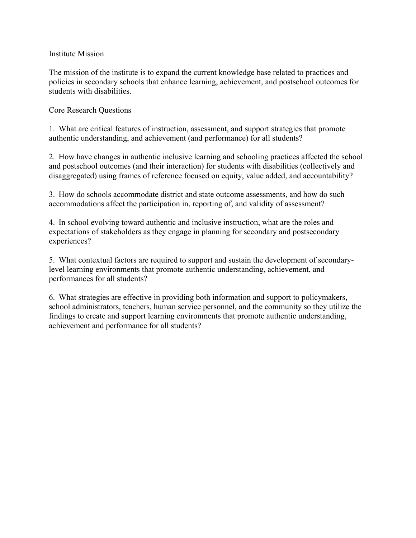### Institute Mission

The mission of the institute is to expand the current knowledge base related to practices and policies in secondary schools that enhance learning, achievement, and postschool outcomes for students with disabilities.

## Core Research Questions

1. What are critical features of instruction, assessment, and support strategies that promote authentic understanding, and achievement (and performance) for all students?

2. How have changes in authentic inclusive learning and schooling practices affected the school and postschool outcomes (and their interaction) for students with disabilities (collectively and disaggregated) using frames of reference focused on equity, value added, and accountability?

3. How do schools accommodate district and state outcome assessments, and how do such accommodations affect the participation in, reporting of, and validity of assessment?

4. In school evolving toward authentic and inclusive instruction, what are the roles and expectations of stakeholders as they engage in planning for secondary and postsecondary experiences?

5. What contextual factors are required to support and sustain the development of secondarylevel learning environments that promote authentic understanding, achievement, and performances for all students?

6. What strategies are effective in providing both information and support to policymakers, school administrators, teachers, human service personnel, and the community so they utilize the findings to create and support learning environments that promote authentic understanding, achievement and performance for all students?